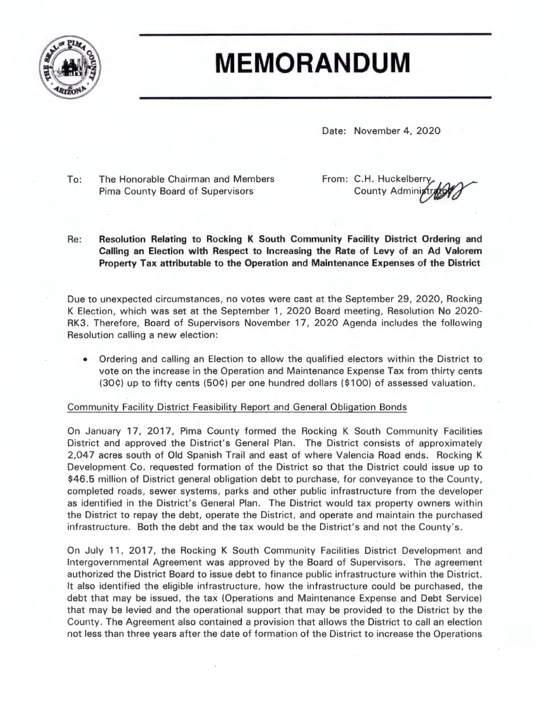

# **MEMORANDUM**

Date: November 4, 2020

To: The Honorable Chairman and Members Pima County Board of Supervisors

From: C.H. Huckelberry **County Administr** 

Re: **Resolution Relating to Rocking K South Community Facility District Ordering and Calling an Election with Respect to Increasing the Rate of Levy of an Ad Valorem Property Tax attributable to the Operation and Maintenance Expenses of the District** 

Due to unexpected circumstances, no votes were cast at the September 29 , 2020, Rocking K Election, which was set at the September 1, 2020 Board meeting, Resolution No 2020- RK3 . Therefore, Board of Supervisors November 17, 2020 Agenda includes the following Resolution calling a new election:

• Ordering and calling an Election to allow the qualified electors within the District to vote on the increase in the Operation and Maintenance Expense Tax from thirty cents (30¢) up to fifty cents (50¢) per one hundred dollars (\$100) of assessed valuation.

## Community Facility District Feasibility Report and General Obligation Bonds

On January 17, 2017, Pima County formed the Rocking K South Community Facilities District and approved the District's General Plan. The District consists of approximately 2,047 acres south of Old Spanish Trail and east of where Valencia Road ends. Rocking K Development Co. requested formation of the District so that the District could issue up to \$46.5 million of District general obligation debt to purchase, for conveyance to the County, completed roads, sewer systems, parks and other public infrastructure from the developer as identified in the District's General Plan. The District would tax property owners within the District to repay the debt, operate the District, and operate and maintain the purchased infrastructure. Both the debt and the tax would be the District's and not the County's.

On July 11, 2017, the Rocking K South Community Facilities District Development and Intergovernmental Agreement was approved by the Board of Supervisors. The agreement authorized the District Board to issue debt to finance public infrastructure within the District. It also identified the eligible infrastructure, how the infrastructure could be purchased, the debt that may be issued, the tax (Operations and Maintenance Expense and Debt Service) that may be levied and the operational support that may be provided to the District by the County. The Agreement also contained a provision that allows the District to call an election not less than three years after the date of formation of the District to increase the Operations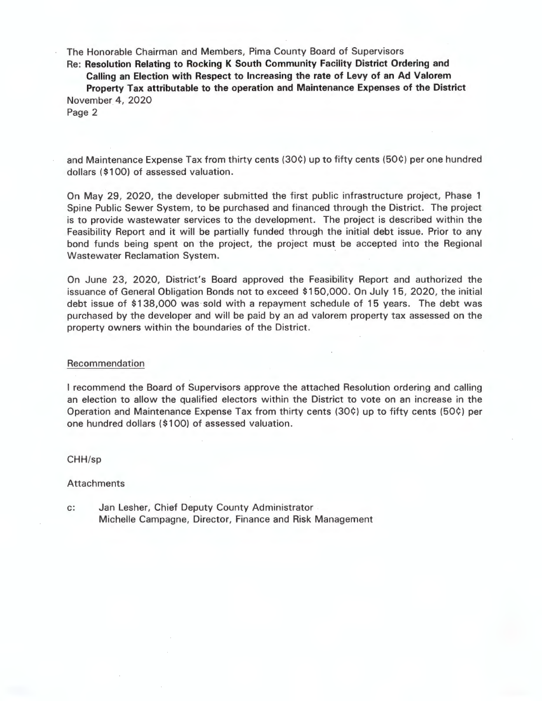The Honorable Chairman and Members, Pima County Board of Supervisors

Re : **Resolution Relating to Rocking K South Community Facility District Ordering and** 

**Calling an Election with Respect to Increasing the rate of Levy of an Ad Valorem Property Tax attributable to the operation and Maintenance Expenses of the District**  November 4, 2020

Page 2

and Maintenance Expense Tax from thirty cents (30¢) up to fifty cents (50¢) per one hundred dollars (\$100) of assessed valuation.

On May 29, 2020, the developer submitted the first public infrastructure project, Phase 1 Spine Public Sewer System, to be purchased and financed through the District. The project is to provide wastewater services to the development. The project is described within the Feasibility Report and it will be partially funded through the initial debt issue. Prior to any bond funds being spent on the project, the project must be accepted into the Regional Wastewater Reclamation System.

On June 23, 2020, District's Board approved the Feasibility Report and authorized the issuance of General Obligation Bonds not to exceed \$150,000. On July 15, 2020, the initial debt issue of \$138,000 was sold with a repayment schedule of 15 years. The debt was purchased by the developer and will be paid by an ad valorem property tax assessed on the property owners within the boundaries of the District.

#### Recommendation

I recommend the Board of Supervisors approve the attached Resolution ordering and calling an election to allow the qualified electors within the District to vote on an increase in the Operation and Maintenance Expense Tax from thirty cents (30¢) up to fifty cents (50¢) per one hundred dollars ( \$100) of assessed valuation.

CHH/sp

Attachments

c: Jan Lesher, Chief Deputy County Administrator Michelle Campagne, Director, Finance and Risk Management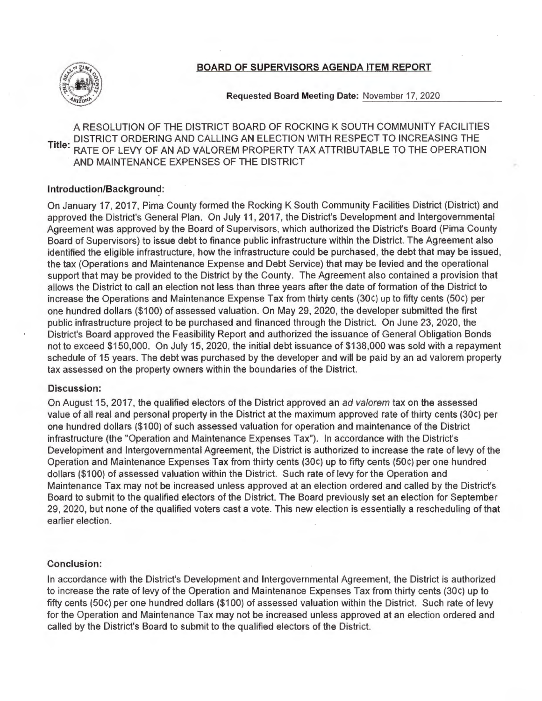

## BOARD OF SUPERVISORS AGENDA ITEM REPORT

Requested Board Meeting Date: November 17, 2020

A RESOLUTION OF THE DISTRICT BOARD OF ROCKING K SOUTH COMMUNITY FACILITIES DISTRICT ORDERING AND CALLING AN ELECTION WITH RESPECT TO INCREASING THE Title: **e.** RATE OF LEVY OF AN AD VALOREM PROPERTY TAX ATTRIBUTABLE TO THE OPERATION AND MAINTENANCE EXPENSES OF THE DISTRICT

## **Introduction/Background:**

On January 17, 2017, Pima County formed the Rocking K South Community Facilities District (District) and approved the District's General Plan. On July 11 , 2017, the District's Development and Intergovernmental Agreement was approved by the Board of Supervisors, which authorized the District's Board (Pima County Board of Supervisors) to issue debt to finance public infrastructure within the District. The Agreement also identified the eligible infrastructure, how the infrastructure could be purchased, the debt that may be issued, the tax (Operations and Maintenance Expense and Debt Service) that may be levied and the operational support that may be provided to the District by the County. The Agreement also contained a provision that allows the District to call an election not less than three years after the date of formation of the District to increase the Operations and Maintenance Expense Tax from thirty cents (30c) up to fifty cents (50c) per one hundred dollars (\$100) of assessed valuation. On May 29, 2020, the developer submitted the first public infrastructure project to be purchased and financed through the District. On June 23, 2020, the District's Board approved the Feasibility Report and authorized the issuance of General Obligation Bonds not to exceed \$150,000. On July 15, 2020, the initial debt issuance of \$138,000 was sold with a repayment schedule of 15 years. The debt was purchased by the developer and will be paid by an ad valorem property tax assessed on the property owners within the boundaries of the District.

#### **Discussion:**

On August 15, 2017, the qualified electors of the District approved an ad valorem tax on the assessed value of all real and personal property in the District at the maximum approved rate of thirty cents (30C) per one hundred dollars (\$100) of such assessed valuation for operation and maintenance of the District infrastructure (the "Operation and Maintenance Expenses Tax"). In accordance with the District's Development and Intergovernmental Agreement, the District is authorized to increase the rate of levy of the Operation and Maintenance Expenses Tax from thirty cents (30C) up to fifty cents (50C) per one hundred dollars (\$100) of assessed valuation within the District. Such rate of levy for the Operation and Maintenance Tax may not be increased unless approved at an election ordered and called by the District's Board to submit to the qualified electors of the District. The Board previously set an election for September 29, 2020, but none of the qualified voters cast a vote. This new election is essentially a rescheduling of that earlier election.

## **Conclusion:**

In accordance with the District's Development and Intergovernmental Agreement, the District is authorized to increase the rate of levy of the Operation and Maintenance Expenses Tax from thirty cents (30C) up to fifty cents (50c) per one hundred dollars (\$100) of assessed valuation within the District. Such rate of levy for the Operation and Maintenance Tax may not be increased unless approved at an election ordered and called by the District's Board to submit to the qualified electors of the District.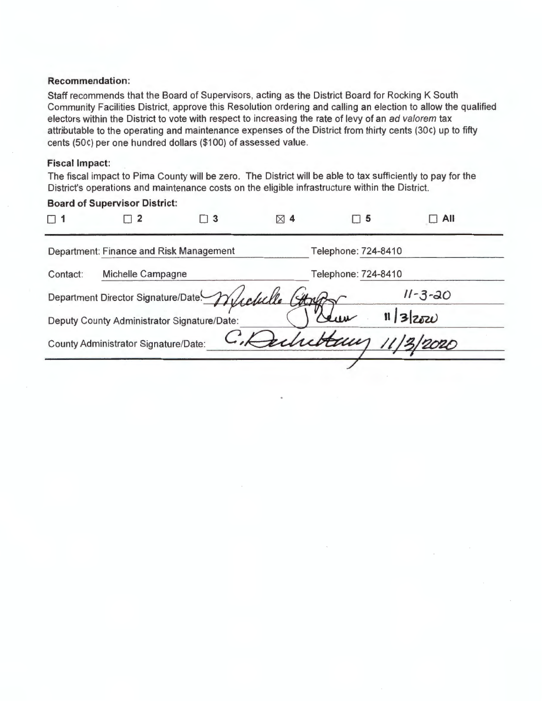#### **Recommendation:**

Staff recommends that the Board of Supervisors, acting as the District Board for Rocking K South Community Facilities District, approve this Resolution ordering and calling an election to allow the qualified electors within the District to vote with respect to increasing the rate of levy of an ad valorem tax attributable to the operating and maintenance expenses of the District from thirty cents (30C) up to fifty cents (SOC) per one hundred dollars (\$100) of assessed value.

## **Fiscal Impact:**

The fiscal impact to Pima County will be zero. The District will be able to tax sufficiently to pay for the District's operations and maintenance costs on the eligible infrastructure within the District.

| <b>Board of Supervisor District:</b>        |                                      |          |               |                     |               |  |  |
|---------------------------------------------|--------------------------------------|----------|---------------|---------------------|---------------|--|--|
| П.                                          | $\Box$ 2                             | $\Box$ 3 | $\boxtimes$ 4 | $\Box$ 5            | All           |  |  |
| Department: Finance and Risk Management     |                                      |          |               | Telephone: 724-8410 |               |  |  |
| Michelle Campagne<br>Contact:               |                                      |          |               | Telephone: 724-8410 |               |  |  |
|                                             | Department Director Signature/Date   |          |               |                     | $11 - 3 - 20$ |  |  |
| Deputy County Administrator Signature/Date: |                                      |          |               |                     | $11 3 z_0z_0$ |  |  |
|                                             | County Administrator Signature/Date: |          |               |                     |               |  |  |
|                                             |                                      |          |               |                     |               |  |  |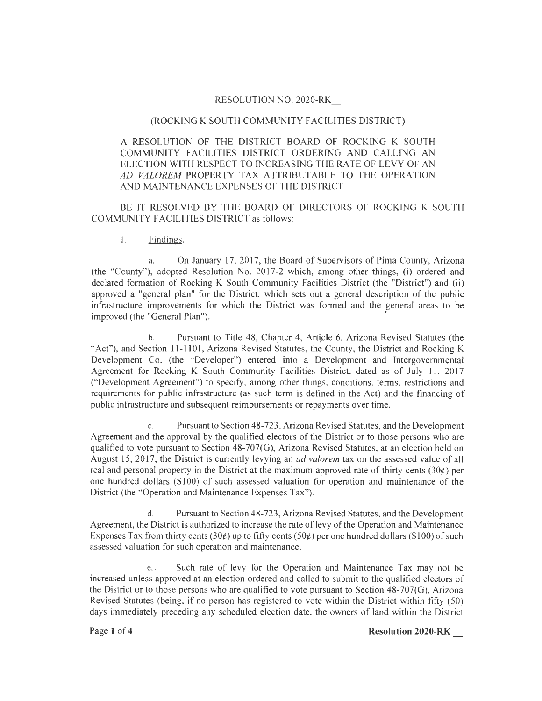## RESOLUTION NO. 2020-RK

#### (ROCKING K SOUTH COMMUNITY FACILITIES DISTRICT)

A RESOLUTION OF THE DISTRICT BOARD OF ROCKING K SOUTH COMMUNITY FACILITIES DISTRICT ORDERING AND CALLING AN ELECTION WITH RESPECT TO INCREASING THE RATE OF LEVY OF AN *AD VALOREM* PROPERTY TAX ATTRIBUTABLE TO THE OPERATION AND MAINTENANCE EXPENSES OF THE DISTRICT

BE IT RESOLVED BY THE BOARD OF DIRECTORS OF ROCKING K SOUTH COMMUNITY FACILITIES DISTRICT as follows:

1. Findings.

a. On January 17, 2017, the Board of Supervisors of Pima County, Arizona (the "County"), adopted Resolution No. 2017-2 which, among other things, (i) ordered and declared formation of Rocking **K** South Community Facilities District (the "District") and (ii} approved a "general plan" for the District, which sets out a general description of the public infrastructure improvements for which the District was formed and the general areas to be improved (the "General Plan").

b. Pursuant to Title 48, Chapter 4, Article 6, Arizona Revised Statutes (the "Act"), and Section 11-1101, Arizona Revised Statutes, the County, the District and Rocking K Development Co. (the "Developer") entered into a Development and Intergovernmental Agreement for Rocking K South Community Facilities District, dated as of July 11, 2017 ("Development Agreement") to specify, among other things, conditions, terms, restrictions and requirements for public infrastructure (as such term is defined in the Act) and the financing of public infrastructure and subsequent reimbursements or repayments over time.

c. Pursuant to Section 48-723, Arizona Revised Statutes, and the Development Agreement and the approval by the qualified electors of the District or to those persons who are qualified to vote pursuant to Section 48-707(G), Arizona Revised Statutes, at an election held on August 15, 2017, the District is currently levying an *ad valorem* tax on the assessed value of all real and personal property in the District at the maximum approved rate of thirty cents  $(30¢)$  per one hundred dollars (\$100) of such assessed valuation for operation and maintenance of the District (the "Operation and Maintenance Expenses Tax").

d. Pursuant to Section 48-723, Arizona Revised Statutes, and the Development Agreement, the District is authorized to increase the rate of levy of the Operation and Maintenance Expenses Tax from thirty cents (30¢) up to fifty cents (50¢) per one hundred dollars (\$100) of such assessed valuation for such operation and maintenance.

e. . Such rate of levy for the Operation and Maintenance Tax may not be increased unless approved at an election ordered and called to submit to the qualified electors of the District or to those persons who are qualified to vote pursuant to Section 48-707(G), Arizona Revised Statutes (being, if no person has registered to vote within the District within fifty (50) days immediately preceding any scheduled election date, the owners of land within the District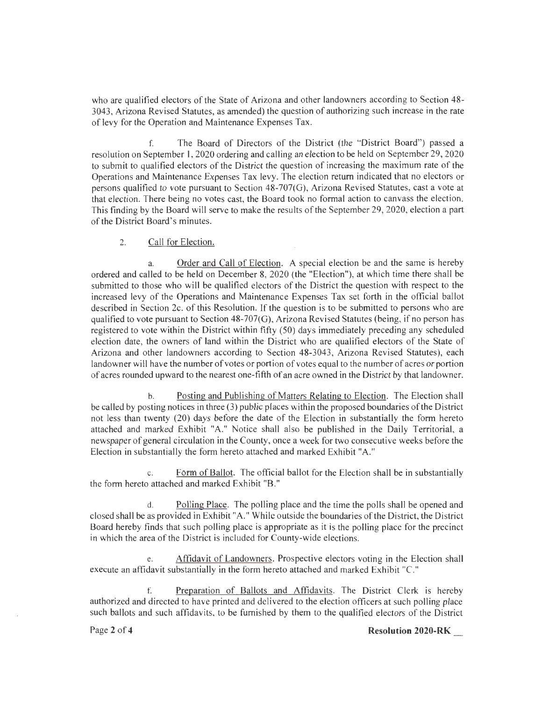who are qualified electors of the State of Arizona and other landowners according to Section 48- 3043, Arizona Revised Statutes, as amended) the question of authorizing such increase in the rate of levy for the Operation and Maintenance Expenses Tax.

f. The Board of Directors of the District (the "District Board") passed a resolution on September 1, 2020 ordering and calling an election to be held on September 29, 2020 to submit to qualified electors of the District the question of increasing the maximum rate of the Operations and Maintenance Expenses Tax levy. The election return indicated that no electors or persons qualified to vote pursuant to Section 48-707(G), Arizona Revised Statutes, cast a vote at that election. There being no votes cast, the Board took no formal action to canvass the election. This finding by the Board will serve to make the results of the September 29, 2020, election a part of the District Board's minutes.

#### 2. Call for Election.

a. Order and Call of Election. A special election be and the same is hereby ordered and called to be held on December 8, 2020 (the "Election"), at which time there shall be submitted to those who will be qualified electors of the District the question with respect to the increased levy of the Operations and Maintenance Expenses Tax set forth in the official ballot described in Section 2c. of this Resolution. If the question is to be submitted to persons who are qualified to vote pursuant to Section 48-707(G), Arizona Revised Statutes (being, if no person has registered to vote within the District within fifty (50) days immediately preceding any scheduled election date, the owners of land within the District who are qualified electors of the State of Arizona and other landowners according to Section 48-3043, Arizona Revised Statutes), each landowner will have the number of votes or portion of votes equal to the number of acres or portion ofacres rounded upward to the nearest one-fifth ofan acre owned in the District by that landowner.

b. Posting and Publishing of Matters Relating to Election. The Election shall be called by posting notices in three (3) public places within the proposed boundaries of the District not less than twenty (20) days before the date of the Election in substantially the form hereto attached and marked Exhibit "A." Notice shall also be published in the Daily Territorial, a newspaper of general circulation in the County, once a week for two consecutive weeks before the Election in substantially the form hereto attached and marked Exhibit "A."

c. Form of Ballot. The official ballot for the Election shall be in substantially the form hereto attached and marked Exhibit "B."

d. Polling Place. The polling place and the time the polls shall be opened and closed shall be as provided in Exhibit "A." While outside the boundaries of the District, the District Board hereby finds that such polling place is appropriate as it is the polling place for the precinct in which the area of the District is included for County-wide elections.

e. Affidavit of Landowners. Prospective electors voting in the Election shall execute an affidavit substantially in the form hereto attached and marked Exhibit "C."

f. Preparation of Ballots and Affidavits. The District Clerk is hereby authorized and directed to have printed and delivered to the election officers at such polling place such ballots and such affidavits, to be furnished by them to the qualified electors of the District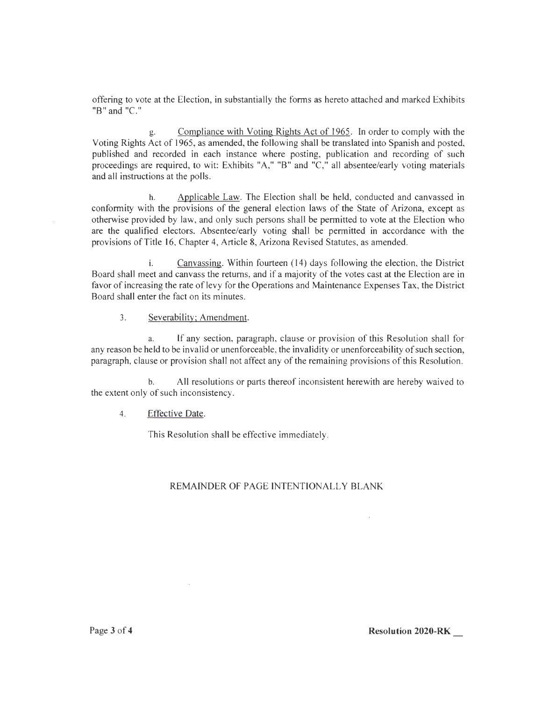offering to vote at the Election, in substantially the forms as hereto attached and marked Exhibits "B" and "C."

g. Compliance with Voting Rights Act of 1965. In order to comply with the Voting Rights Act of 1965, as amended, the following shall be translated into Spanish and posted, published and recorded in each instance where posting, publication and recording of such proceedings are required, to wit: Exhibits "A," "B" and "C," all absentee/early voting materials and all instructions at the polls.

h. Applicable Law. The Election shall be held, conducted and canvassed in conformity with the provisions of the general election laws of the State of Arizona, except as otherwise provided by law, and only such persons shall be permitted to vote at the Election who are the qualified electors. Absentee/early voting shall be permitted in accordance with the provisions of Title 16, Chapter 4, Article 8, Arizona Revised Statutes, as amended.

i. Canvassing. Within fourteen  $(14)$  days following the election, the District Board shall meet and canvass the returns, and if a majority of the votes cast at the Election are in favor of increasing the rate of levy for the Operations and Maintenance Expenses Tax, the District Board shall enter the fact on its minutes.

3. Severability; Amendment.

a. [f any section, paragraph, clause or provision of this Resolution shall for any reason be held to be invalid or unenforceable, the invalidity or unenforceability of such section, paragraph, clause or provision shall not affect any of the remaining provisions of this Resolution.

b. All resolutions or parts thereof inconsistent herewith are hereby waived to the extent only of such inconsistency.

## 4. Effective Date.

This Resolution shall be effective immediately.

## REMAINDER OF PAGE INTENTIONALLY BLANK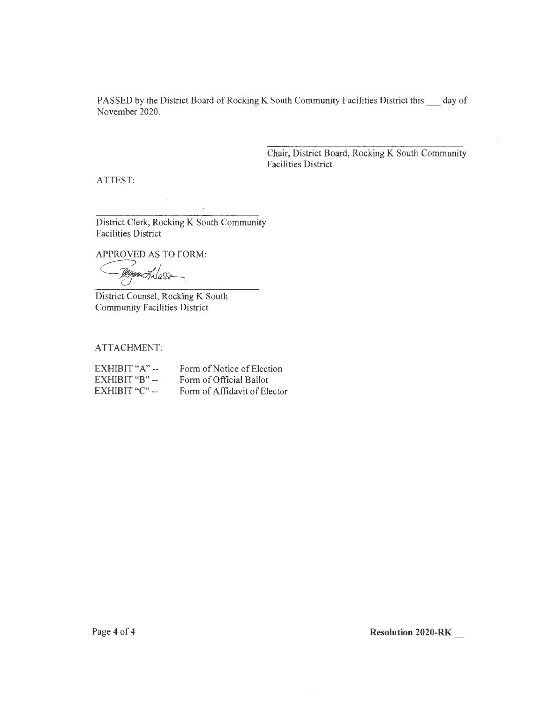PASSED by the District Board of Rocking K South Community Facilities District this  $\_\_\_$  day of November 2020.

> Chair, District Board, Rocking K South Community Facilities District

ATTEST:

District Clerk, Rocking K South Community Facilities District

 $\sim$   $\sim$ 

APPROVED AS TO FORM:

 $\frac{10}{4}$ 

District Counsel, Rocking K South Community Facilities District

ATTACHMENT:

| $EXHIBIT "A" -$ | Form of Notice of Election   |
|-----------------|------------------------------|
| $EXHIBIT "B" -$ | Form of Official Ballot      |
| $EXHIBIT "C" -$ | Form of Affidavit of Elector |

**Resolution 2020-RK**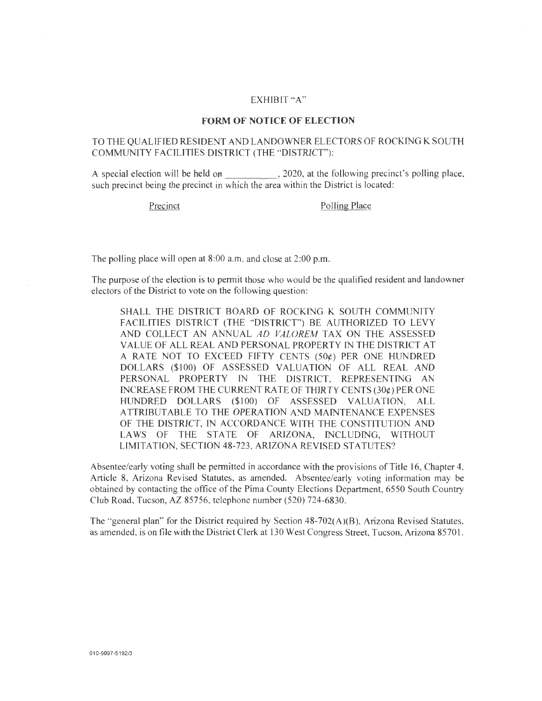#### EXHIBIT "A"

#### **FORM OF NOTICE OF ELECTION**

## TO THE QUALIFIED RESIDENT AND LANDOWNER ELECTORS OF ROCKING K SOUTH COMMUNITY FACILITIES DISTRICT (THE "DISTRICT"):

A special election will be held on \_\_\_\_\_\_\_\_\_\_\_\_\_\_\_, 2020, at the following precinct's polling place, such precinct being the precinct in which the area within the District is located:

Precinct Polling Place

The polling place will open at 8:00 a.m. and close at 2:00 p.m.

The purpose of the election is to permit those who would be the qualified resident and landowner electors of the District to vote on the following question:

SHALL THE DISTRICT BOARD OF ROCKlNG K SOUTH COMMUNITY FACILITIES DISTRICT (THE "DISTRICT") BE AUTHORIZED TO LEVY AND COLLECT AN ANNUAL *AD VALOREM* TAX ON THE ASSESSED VALUE OF ALL REAL AND PERSONAL PROPERTY IN THE DISTRICT AT A RATE NOT TO EXCEED FIFTY CENTS  $(50¢)$  PER ONE HUNDRED DOLLARS (\$100) OF ASSESSED VALUATION OF ALL REAL AND PERSONAL PROPERTY IN THE DISTRICT, REPRESENTING AN INCREASE FROM THE CURRENT RATE OF THIRTY CENTS (30¢) PER ONE HUNDRED DOLLARS (\$100) OF ASSESSED VALUATION, ALL ATTRIBUTABLE TO THE OPERATION AND MAINTENANCE EXPENSES OF THE DISTRICT, IN ACCORDANCE WITH THE CONSTITUTION AND LAWS OF THE STATE OF ARIZONA, INCLUDING, WITHOUT LIMITATION, SECTION 48-723, ARIZONA REVISED STATUTES?

Absentee/early voting shall be permitted in accordance with the provisions of Title 16, Chapter 4, Article 8, Arizona Revised Statutes, as amended. Absentee/early voting information may be obtained by contacting the office of the Pima County Elections Department, 6550 South Country Club Road, Tucson, AZ 85756, telephone number (520) 724-6830.

The "general plan" for the District required by Section 48-702(A)(B), Arizona Revised Statutes, as amended, is on file with the District Clerk at 130 West Congress Street, Tucson, Arizona 8570 I.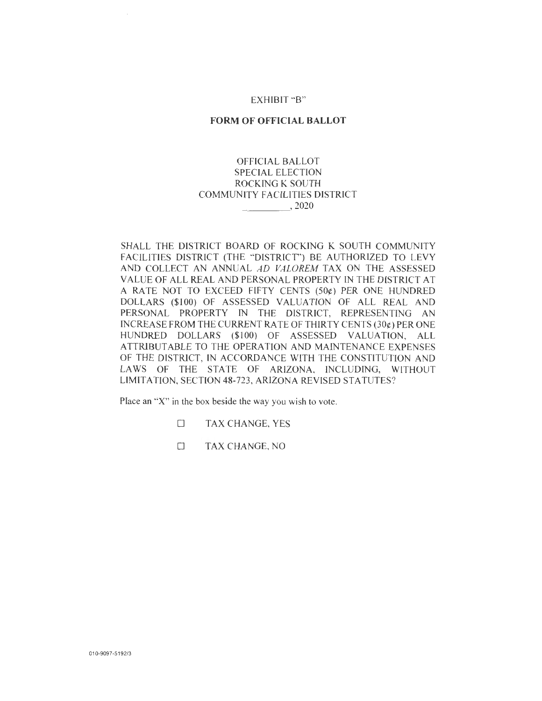## EXHIBIT "B"

## **FORM OF OFFICIAL BALLOT**

## OFFICIAL BALLOT SPECIAL ELECTION ROCKING K SOUTH COMMUNITY FACILITIES DISTRICT \_\_\_\_ ,2020

SHALL THE DISTRICT BOARD OF ROCKING K SOUTH COMMUNITY FACILITlES DISTRICT (THE "DISTRICT") BE AUTHORIZED TO LEVY AND COLLECT AN ANNUAL AD VALOREM TAX ON THE ASSESSED VALUE OF ALL REAL AND PERSONAL PROPERTY IN THE DlSTRlCT AT A RATE NOT TO EXCEED FIFTY CENTS  $(50¢)$  PER ONE HUNDRED DOLLARS (\$100) OF ASSESSED VALUATION OF ALL REAL AND PERSONAL PROPERTY IN THE DISTRICT, REPRESENTING AN INCREASE FROM THE CURRENT RA TE OF THIRTY CENTS (30¢) PER ONE HUNDRED DOLLARS (\$100) OF ASSESSED VALUATION, ALL ATTRIBUTABLE TO THE OPERATION AND MAINTENANCE EXPENSES OF THE DISTRICT, IN ACCORDANCE WITH THE CONSTITUTION AND LAWS OF THE STATE OF ARIZONA, INCLUDING, WITHOUT LIMITATION, SECTION 48-723 , ARIZONA REVISED STATUTES?

Place an "X" in the box beside the way you wish to vote.

**ELECTAL TAX CHANGE, YES** 

**COMPANY TAX CHANGE, NO**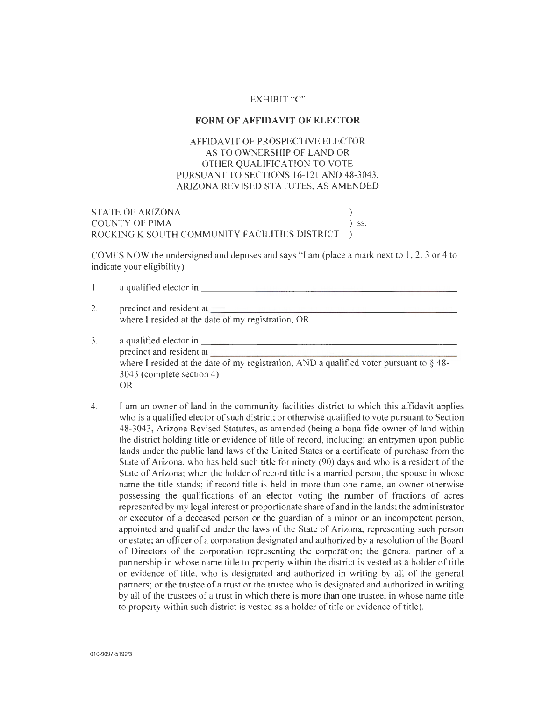## EXHIBIT "C"

#### **FORM OF AFFIDAVIT OF ELECTOR**

## AFFIDAVIT OF PROSPECTIVE ELECTOR AS TO OWNERSHIP OF LAND OR OTHER QUALIFICATION TO VOTE PURSUANT TO SECTIONS 16-121 AND 48-3043, ARIZONA REVISED STATUTES, AS AMENDED

STATE OF ARIZONA COUNTY OF PIMA  $\qquad \qquad$  ) ss. ROCKING K SOUTH COMMUNITY FACILITIES DISTRICT

COMES NOW the undersigned and deposes and says " I am (place a mark next to 1, 2, 3 or 4 to indicate your eligibility)

|    | a qualified elector in                                                                                                                                                                                                                                                                     |  |
|----|--------------------------------------------------------------------------------------------------------------------------------------------------------------------------------------------------------------------------------------------------------------------------------------------|--|
| 2. | precinct and resident at <b>the contract of the set of the contract of the contract of the contract of the contract of the contract of the contract of the contract of the contract of the contract of the contract of the contr</b><br>where I resided at the date of my registration, OR |  |
|    | a qualified elector in                                                                                                                                                                                                                                                                     |  |

- precinct and resident at where I resided at the date of my registration, AND a qualified voter pursuant to §48-3043 (complete section 4) OR
- 4. I am an owner of land in the community facilities district to which this affidavit applies who is a qualified elector of such district; or otherwise qualified to vote pursuant to Section 48-3043, Arizona Revised Statutes, as amended (being a bona fide owner of land within the district holding title or evidence of title of record, including: an entrymen upon public lands under the public land laws of the United States or a certificate of purchase from the State of Arizona, who has held such title for ninety (90) days and who is a resident of the State of Arizona; when the holder of record title is a married person, the spouse in whose name the title stands; if record title is held in more than one name, an owner otherwise possessing the qualifications of an elector voting the number of fractions of acres represented by my legal interest or proportionate share of and in the lands; the administrator or executor of a deceased person or the guardian of a minor or an incompetent person, appointed and qualified under the laws of the State of Arizona, representing such person or estate; an officer of a corporation designated and authorized by a resolution of the Board of Directors of the corporation representing the corporation; the general partner of a partnership in whose name title to property within the district is vested as a holder of title or evidence of title, who is designated and authorized in writing by all of the general partners; or the trustee of a trust or the trustee who is designated and authorized in writing by all of the trustees of a trust in which there is more than one trustee, in whose name title to property within such district is vested as a holder of title or evidence of title).